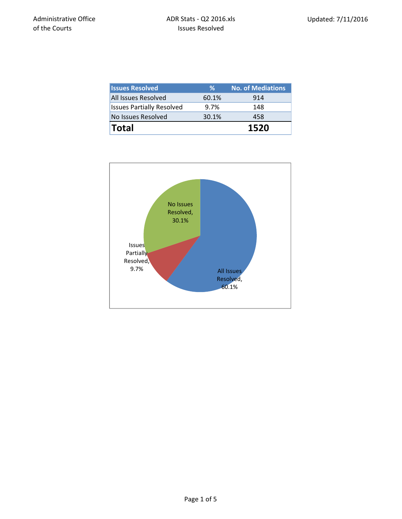| <b>Issues Resolved</b>           | ℅     | <b>No. of Mediations</b> |
|----------------------------------|-------|--------------------------|
| All Issues Resolved              | 60.1% | 914                      |
| <b>Issues Partially Resolved</b> | 9.7%  | 148                      |
| No Issues Resolved               | 30.1% | 458                      |
| <b>Total</b>                     |       | 1520                     |

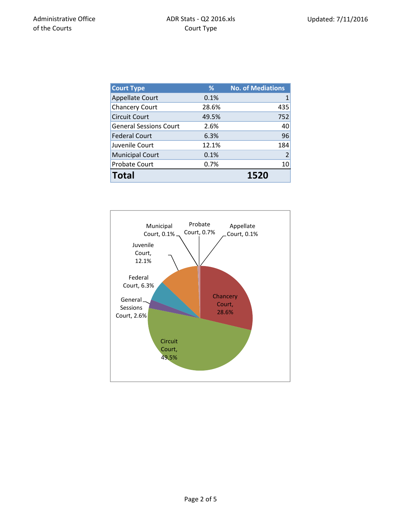| <b>Court Type</b>             | %     | <b>No. of Mediations</b> |
|-------------------------------|-------|--------------------------|
| <b>Appellate Court</b>        | 0.1%  |                          |
| <b>Chancery Court</b>         | 28.6% | 435                      |
| <b>Circuit Court</b>          | 49.5% | 752                      |
| <b>General Sessions Court</b> | 2.6%  | 40                       |
| <b>Federal Court</b>          | 6.3%  | 96                       |
| Juvenile Court                | 12.1% | 184                      |
| <b>Municipal Court</b>        | 0.1%  | $\overline{2}$           |
| <b>Probate Court</b>          | 0.7%  | 10                       |
| <b>Total</b>                  |       | 1520                     |

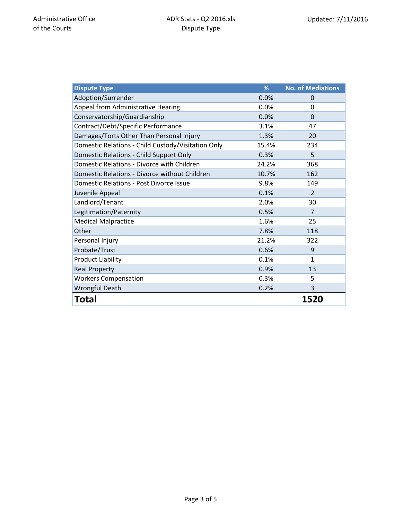| <b>Dispute Type</b>                                | %     | <b>No. of Mediations</b> |
|----------------------------------------------------|-------|--------------------------|
| Adoption/Surrender                                 | 0.0%  | $\Omega$                 |
| Appeal from Administrative Hearing                 | 0.0%  | 0                        |
| Conservatorship/Guardianship                       | 0.0%  | $\Omega$                 |
| Contract/Debt/Specific Performance                 | 3.1%  | 47                       |
| Damages/Torts Other Than Personal Injury           | 1.3%  | 20                       |
| Domestic Relations - Child Custody/Visitation Only | 15.4% | 234                      |
| Domestic Relations - Child Support Only            | 0.3%  | 5                        |
| Domestic Relations - Divorce with Children         | 24.2% | 368                      |
| Domestic Relations - Divorce without Children      | 10.7% | 162                      |
| <b>Domestic Relations - Post Divorce Issue</b>     | 9.8%  | 149                      |
| Juvenile Appeal                                    | 0.1%  | $\overline{2}$           |
| Landlord/Tenant                                    | 2.0%  | 30                       |
| Legitimation/Paternity                             | 0.5%  | 7                        |
| <b>Medical Malpractice</b>                         | 1.6%  | 25                       |
| Other                                              | 7.8%  | 118                      |
| Personal Injury                                    | 21.2% | 322                      |
| Probate/Trust                                      | 0.6%  | 9                        |
| <b>Product Liability</b>                           | 0.1%  | 1                        |
| <b>Real Property</b>                               | 0.9%  | 13                       |
| <b>Workers Compensation</b>                        | 0.3%  | 5                        |
| <b>Wrongful Death</b>                              | 0.2%  | 3                        |
| Total                                              |       | 1520                     |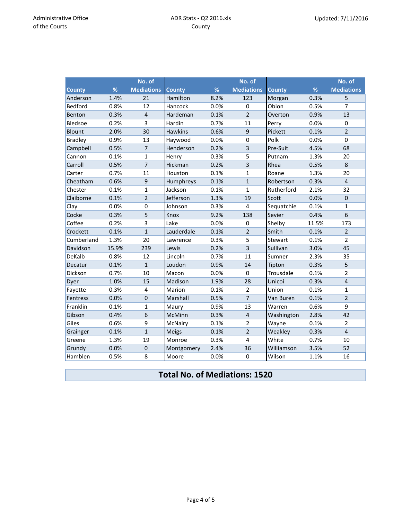|                |       | No. of            |                |      | No. of                  |               |       | No. of            |
|----------------|-------|-------------------|----------------|------|-------------------------|---------------|-------|-------------------|
| <b>County</b>  | %     | <b>Mediations</b> | <b>County</b>  | %    | <b>Mediations</b>       | <b>County</b> | %     | <b>Mediations</b> |
| Anderson       | 1.4%  | 21                | Hamilton       | 8.2% | 123                     | Morgan        | 0.3%  | 5                 |
| <b>Bedford</b> | 0.8%  | 12                | Hancock        | 0.0% | $\mathbf 0$             | Obion         | 0.5%  | 7                 |
| Benton         | 0.3%  | $\overline{4}$    | Hardeman       | 0.1% | $\overline{2}$          | Overton       | 0.9%  | 13                |
| Bledsoe        | 0.2%  | 3                 | Hardin         | 0.7% | 11                      | Perry         | 0.0%  | 0                 |
| Blount         | 2.0%  | 30                | <b>Hawkins</b> | 0.6% | $\boldsymbol{9}$        | Pickett       | 0.1%  | $\overline{2}$    |
| <b>Bradley</b> | 0.9%  | 13                | Haywood        | 0.0% | $\mathbf 0$             | Polk          | 0.0%  | $\mathbf 0$       |
| Campbell       | 0.5%  | $\overline{7}$    | Henderson      | 0.2% | 3                       | Pre-Suit      | 4.5%  | 68                |
| Cannon         | 0.1%  | $\mathbf{1}$      | Henry          | 0.3% | 5                       | Putnam        | 1.3%  | 20                |
| Carroll        | 0.5%  | $\overline{7}$    | Hickman        | 0.2% | $\overline{3}$          | Rhea          | 0.5%  | $\,8\,$           |
| Carter         | 0.7%  | 11                | Houston        | 0.1% | $\mathbf{1}$            | Roane         | 1.3%  | 20                |
| Cheatham       | 0.6%  | 9                 | Humphreys      | 0.1% | $\mathbf{1}$            | Robertson     | 0.3%  | $\overline{4}$    |
| Chester        | 0.1%  | $\mathbf{1}$      | Jackson        | 0.1% | $\mathbf{1}$            | Rutherford    | 2.1%  | 32                |
| Claiborne      | 0.1%  | $\overline{2}$    | Jefferson      | 1.3% | 19                      | Scott         | 0.0%  | $\boldsymbol{0}$  |
| Clay           | 0.0%  | $\mathbf 0$       | Johnson        | 0.3% | 4                       | Sequatchie    | 0.1%  | $\mathbf{1}$      |
| Cocke          | 0.3%  | 5                 | Knox           | 9.2% | 138                     | Sevier        | 0.4%  | 6                 |
| Coffee         | 0.2%  | 3                 | Lake           | 0.0% | 0                       | Shelby        | 11.5% | 173               |
| Crockett       | 0.1%  | $\mathbf{1}$      | Lauderdale     | 0.1% | $\overline{2}$          | Smith         | 0.1%  | $\overline{2}$    |
| Cumberland     | 1.3%  | 20                | Lawrence       | 0.3% | 5                       | Stewart       | 0.1%  | $\overline{2}$    |
| Davidson       | 15.9% | 239               | Lewis          | 0.2% | $\overline{3}$          | Sullivan      | 3.0%  | 45                |
| DeKalb         | 0.8%  | 12                | Lincoln        | 0.7% | 11                      | Sumner        | 2.3%  | 35                |
| Decatur        | 0.1%  | $\mathbf{1}$      | Loudon         | 0.9% | 14                      | Tipton        | 0.3%  | 5                 |
| Dickson        | 0.7%  | 10                | Macon          | 0.0% | $\Omega$                | Trousdale     | 0.1%  | $\overline{2}$    |
| Dyer           | 1.0%  | 15                | Madison        | 1.9% | 28                      | Unicoi        | 0.3%  | $\overline{4}$    |
| Fayette        | 0.3%  | $\overline{4}$    | Marion         | 0.1% | $\overline{2}$          | Union         | 0.1%  | $\mathbf{1}$      |
| Fentress       | 0.0%  | $\boldsymbol{0}$  | Marshall       | 0.5% | 7                       | Van Buren     | 0.1%  | $\overline{2}$    |
| Franklin       | 0.1%  | $\mathbf 1$       | Maury          | 0.9% | 13                      | Warren        | 0.6%  | 9                 |
| Gibson         | 0.4%  | 6                 | McMinn         | 0.3% | $\overline{\mathbf{4}}$ | Washington    | 2.8%  | 42                |
| Giles          | 0.6%  | 9                 | McNairy        | 0.1% | $\overline{2}$          | Wayne         | 0.1%  | $\overline{2}$    |
| Grainger       | 0.1%  | $\mathbf{1}$      | <b>Meigs</b>   | 0.1% | $\overline{2}$          | Weakley       | 0.3%  | $\overline{4}$    |
| Greene         | 1.3%  | 19                | Monroe         | 0.3% | 4                       | White         | 0.7%  | 10                |
| Grundy         | 0.0%  | $\mathbf 0$       | Montgomery     | 2.4% | 36                      | Williamson    | 3.5%  | 52                |
| Hamblen        | 0.5%  | 8                 | Moore          | 0.0% | 0                       | Wilson        | 1.1%  | 16                |

## **Total No. of Mediations: 1520**